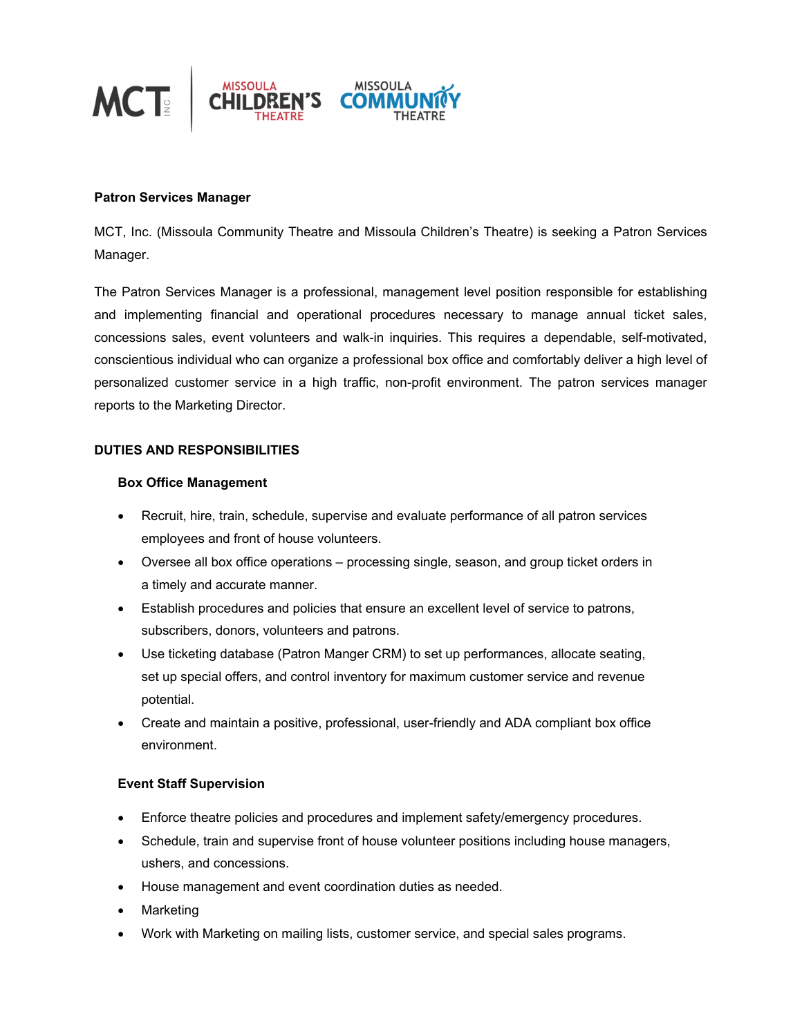

### **Patron Services Manager**

MCT, Inc. (Missoula Community Theatre and Missoula Children's Theatre) is seeking a Patron Services Manager.

The Patron Services Manager is a professional, management level position responsible for establishing and implementing financial and operational procedures necessary to manage annual ticket sales, concessions sales, event volunteers and walk-in inquiries. This requires a dependable, self-motivated, conscientious individual who can organize a professional box office and comfortably deliver a high level of personalized customer service in a high traffic, non-profit environment. The patron services manager reports to the Marketing Director.

### **DUTIES AND RESPONSIBILITIES**

#### **Box Office Management**

- Recruit, hire, train, schedule, supervise and evaluate performance of all patron services employees and front of house volunteers.
- Oversee all box office operations processing single, season, and group ticket orders in a timely and accurate manner.
- Establish procedures and policies that ensure an excellent level of service to patrons, subscribers, donors, volunteers and patrons.
- Use ticketing database (Patron Manger CRM) to set up performances, allocate seating, set up special offers, and control inventory for maximum customer service and revenue potential.
- Create and maintain a positive, professional, user-friendly and ADA compliant box office environment.

## **Event Staff Supervision**

- Enforce theatre policies and procedures and implement safety/emergency procedures.
- Schedule, train and supervise front of house volunteer positions including house managers, ushers, and concessions.
- House management and event coordination duties as needed.
- Marketing
- Work with Marketing on mailing lists, customer service, and special sales programs.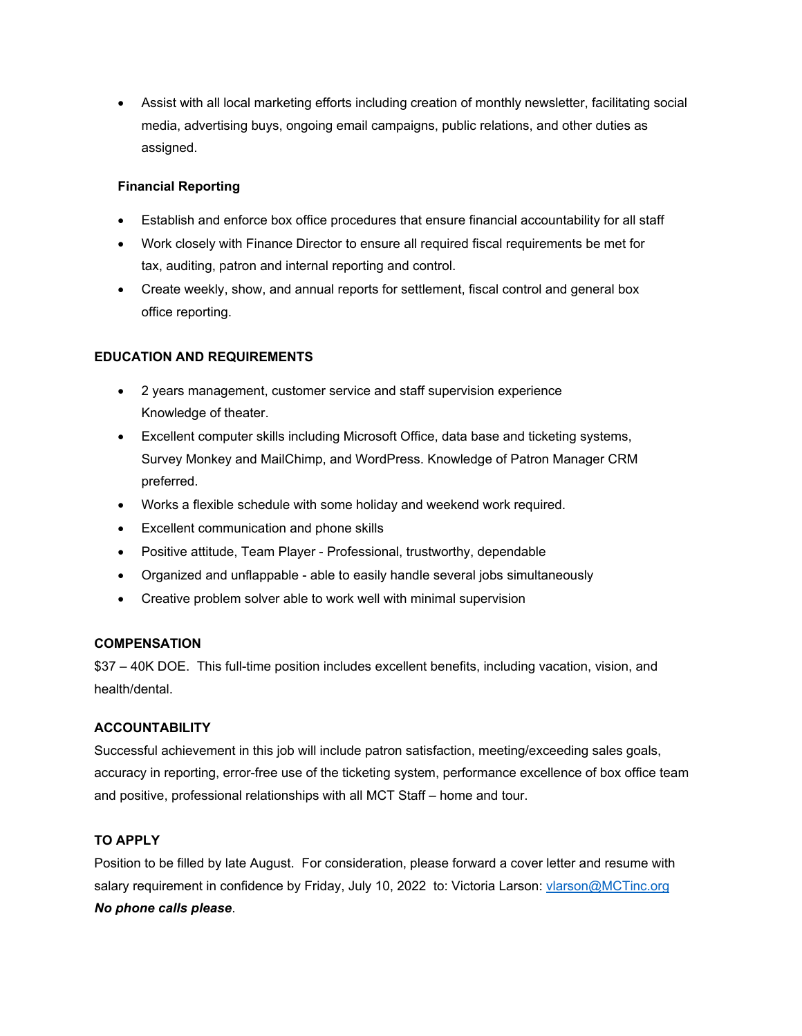Assist with all local marketing efforts including creation of monthly newsletter, facilitating social media, advertising buys, ongoing email campaigns, public relations, and other duties as assigned.

# **Financial Reporting**

- Establish and enforce box office procedures that ensure financial accountability for all staff
- Work closely with Finance Director to ensure all required fiscal requirements be met for tax, auditing, patron and internal reporting and control.
- Create weekly, show, and annual reports for settlement, fiscal control and general box office reporting.

# **EDUCATION AND REQUIREMENTS**

- 2 years management, customer service and staff supervision experience Knowledge of theater.
- Excellent computer skills including Microsoft Office, data base and ticketing systems, Survey Monkey and MailChimp, and WordPress. Knowledge of Patron Manager CRM preferred.
- Works a flexible schedule with some holiday and weekend work required.
- Excellent communication and phone skills
- Positive attitude, Team Player Professional, trustworthy, dependable
- Organized and unflappable able to easily handle several jobs simultaneously
- Creative problem solver able to work well with minimal supervision

## **COMPENSATION**

\$37 – 40K DOE. This full-time position includes excellent benefits, including vacation, vision, and health/dental.

## **ACCOUNTABILITY**

Successful achievement in this job will include patron satisfaction, meeting/exceeding sales goals, accuracy in reporting, error-free use of the ticketing system, performance excellence of box office team and positive, professional relationships with all MCT Staff – home and tour.

## **TO APPLY**

Position to be filled by late August. For consideration, please forward a cover letter and resume with salary requirement in confidence by Friday, July 10, 2022 to: Victoria Larson: vlarson@MCTinc.org *No phone calls please*.